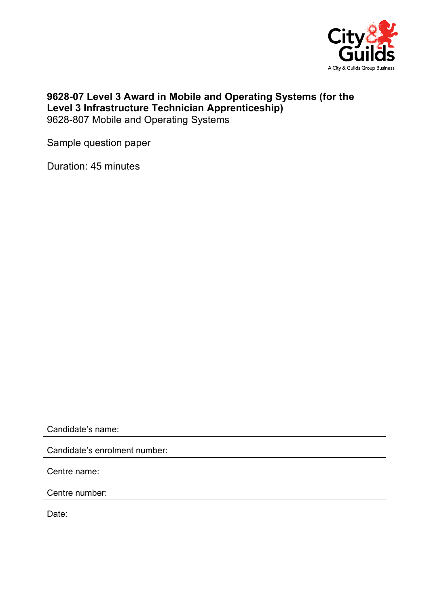

## 9628-07 Level 3 Award in Mobile and Operating Systems (for the Level 3 Infrastructure Technician Apprenticeship) 9628-807 Mobile and Operating Systems

Sample question paper

Duration: 45 minutes

Candidate's name:

Candidate's enrolment number:

Centre name:

Centre number:

Date: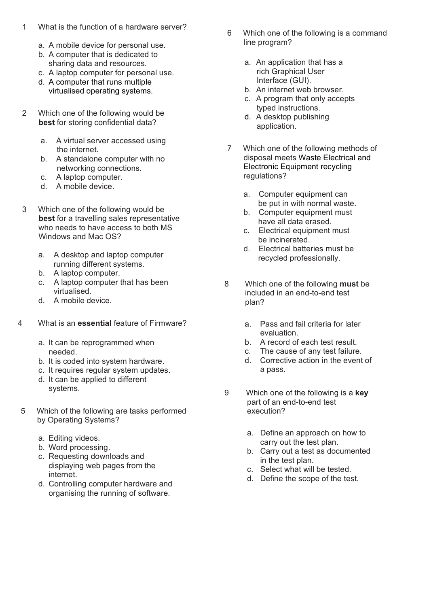## 1 What is the function of a hardware server?

- a. A mobile device for personal use.
- b. A computer that is dedicated to sharing data and resources.
- c. A laptop computer for personal use.
- d. A computer that runs multiple virtualised operating systems.
- 2 Which one of the following would be best for storing confidential data?
	- a. A virtual server accessed using the internet.
	- b. A standalone computer with no networking connections.
	- c. A laptop computer.
	- d. A mobile device.
- 3 Which one of the following would be best for a travelling sales representative who needs to have access to both MS Windows and Mac OS?
	- a. A desktop and laptop computer running different systems.
	- b. A laptop computer.
	- c. A laptop computer that has been virtualised.
	- d. A mobile device.
- 4 What is an essential feature of Firmware?
	- a. It can be reprogrammed when needed.
	- b. It is coded into system hardware.
	- c. It requires regular system updates.
	- d. It can be applied to different systems.
- 5 Which of the following are tasks performed by Operating Systems?
	- a. Editing videos.
	- b. Word processing.
	- c. Requesting downloads and displaying web pages from the internet.
	- d. Controlling computer hardware and organising the running of software.
- 6 Which one of the following is a command line program?
	- a. An application that has a rich Graphical User Interface (GUI).
	- b. An internet web browser.
	- c. A program that only accepts typed instructions.
	- d. A desktop publishing application.
- 7 Which one of the following methods of disposal meets Waste Electrical and Electronic Equipment recycling regulations?
	- a. Computer equipment can be put in with normal waste.
	- b. Computer equipment must have all data erased.
	- c. Electrical equipment must be incinerated.
	- d. Electrical batteries must be recycled professionally.
- 8 Which one of the following must be included in an end-to-end test plan?
	- a. Pass and fail criteria for later evaluation.
	- b. A record of each test result.
	- c. The cause of any test failure.
	- d. Corrective action in the event of a pass.
- 9 Which one of the following is a key part of an end-to-end test execution?
	- a. Define an approach on how to carry out the test plan.
	- b. Carry out a test as documented in the test plan.
	- c. Select what will be tested.
	- d. Define the scope of the test.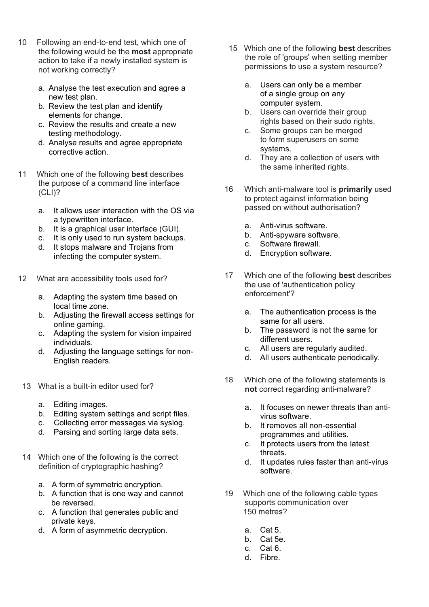- 10 Following an end-to-end test, which one of the following would be the **most** appropriate action to take if a newly installed system is not working correctly?
	- a. Analyse the test execution and agree a new test plan.
	- b. Review the test plan and identify elements for change.
	- c. Review the results and create a new testing methodology.
	- d. Analyse results and agree appropriate corrective action.
- 11 Which one of the following **best** describes the purpose of a command line interface (CLI)?
	- a. It allows user interaction with the OS via a typewritten interface.
	- b. It is a graphical user interface (GUI).<br>c. It is only used to run system backups
	- It is only used to run system backups. d. It stops malware and Trojans from
	- infecting the computer system.
- 12 What are accessibility tools used for?
	- a. Adapting the system time based on local time zone.
	- b. Adjusting the firewall access settings for online gaming.
	- c. Adapting the system for vision impaired individuals.
	- d. Adjusting the language settings for non-English readers.
	- 13 What is a built-in editor used for?
		- a. Editing images.
		- b. Editing system settings and script files.
		- c. Collecting error messages via syslog.
		- d. Parsing and sorting large data sets.
	- 14 Which one of the following is the correct definition of cryptographic hashing?
		- a. A form of symmetric encryption.
		- b. A function that is one way and cannot be reversed.
		- c. A function that generates public and private keys.
		- d. A form of asymmetric decryption.
- 15 Which one of the following best describes the role of 'groups' when setting member permissions to use a system resource?
	- a. Users can only be a member of a single group on any computer system.
	- b. Users can override their group rights based on their sudo rights.
	- c. Some groups can be merged to form superusers on some systems.
	- d. They are a collection of users with the same inherited rights.
- 16 Which anti-malware tool is **primarily** used to protect against information being passed on without authorisation?
	- a. Anti-virus software.
	- b. Anti-spyware software.
	- c. Software firewall.
	- d. Encryption software.
- 17 Which one of the following best describes the use of 'authentication policy enforcement'?
	- a. The authentication process is the same for all users.
	- b. The password is not the same for different users.
	- c. All users are regularly audited.
	- d. All users authenticate periodically.
- 18 Which one of the following statements is not correct regarding anti-malware?
	- a. It focuses on newer threats than antivirus software.
	- b. It removes all non-essential programmes and utilities.
	- c. It protects users from the latest threats.
	- d. It updates rules faster than anti-virus software.
- 19 Which one of the following cable types supports communication over 150 metres?
	- a. Cat 5.
	- b. Cat 5e.
	- c. Cat 6.
	- d. Fibre.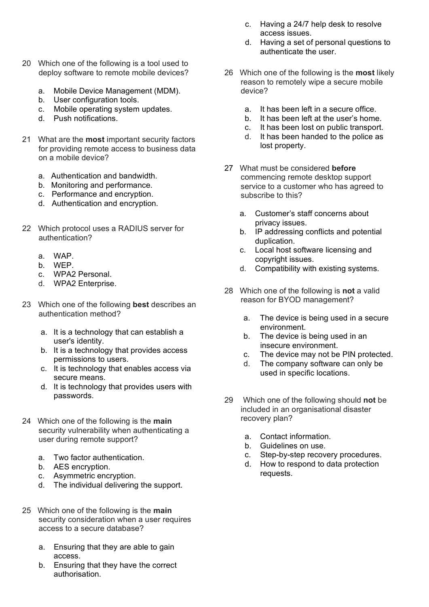- 20 Which one of the following is a tool used to deploy software to remote mobile devices?
	- a. Mobile Device Management (MDM).
	- b. User configuration tools.
	- c. Mobile operating system updates.
	- d. Push notifications.
- 21 What are the **most** important security factors for providing remote access to business data on a mobile device?
	- a. Authentication and bandwidth.
	- b. Monitoring and performance.
	- c. Performance and encryption.
	- d. Authentication and encryption.
- 22 Which protocol uses a RADIUS server for authentication?
	- a. WAP.
	- b. WEP.
	- c. WPA2 Personal.
	- d. WPA2 Enterprise.
- 23 Which one of the following best describes an authentication method?
	- a. It is a technology that can establish a user's identity.
	- b. It is a technology that provides access permissions to users.
	- c. It is technology that enables access via secure means.
	- d. It is technology that provides users with passwords.
- 24 Which one of the following is the main security vulnerability when authenticating a user during remote support?
	- a. Two factor authentication.
	- b. AES encryption.
	- c. Asymmetric encryption.
	- d. The individual delivering the support.
- 25 Which one of the following is the main security consideration when a user requires access to a secure database?
	- a. Ensuring that they are able to gain access.
	- b. Ensuring that they have the correct authorisation.
- c. Having a 24/7 help desk to resolve access issues.
- d. Having a set of personal questions to authenticate the user.
- 26 Which one of the following is the **most** likely reason to remotely wipe a secure mobile device?
	- a. It has been left in a secure office.
	- b. It has been left at the user's home.
	- c. It has been lost on public transport.
	- d. It has been handed to the police as lost property.
- 27 What must be considered before commencing remote desktop support service to a customer who has agreed to subscribe to this?
	- a. Customer's staff concerns about privacy issues.
	- b. IP addressing conflicts and potential duplication.
	- c. Local host software licensing and copyright issues.
	- d. Compatibility with existing systems.
- 28 Which one of the following is **not** a valid reason for BYOD management?
	- a. The device is being used in a secure environment.
	- b. The device is being used in an insecure environment.
	- c. The device may not be PIN protected.
	- d. The company software can only be used in specific locations.
- 29 Which one of the following should not be included in an organisational disaster recovery plan?
	- a. Contact information.
	- b. Guidelines on use.
	- c. Step-by-step recovery procedures.
	- d. How to respond to data protection requests.